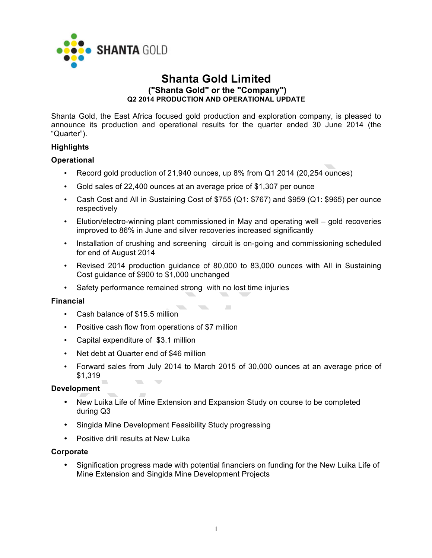

# **Shanta Gold Limited ("Shanta Gold" or the "Company") Q2 2014 PRODUCTION AND OPERATIONAL UPDATE**

Shanta Gold, the East Africa focused gold production and exploration company, is pleased to announce its production and operational results for the quarter ended 30 June 2014 (the "Quarter").

## **Highlights**

## **Operational**

- Record gold production of 21,940 ounces, up 8% from Q1 2014 (20,254 ounces)
- Gold sales of 22,400 ounces at an average price of \$1,307 per ounce
- Cash Cost and All in Sustaining Cost of \$755 (Q1: \$767) and \$959 (Q1: \$965) per ounce respectively
- Elution/electro-winning plant commissioned in May and operating well gold recoveries improved to 86% in June and silver recoveries increased significantly
- Installation of crushing and screening circuit is on-going and commissioning scheduled for end of August 2014
- Revised 2014 production guidance of 80,000 to 83,000 ounces with All in Sustaining Cost guidance of \$900 to \$1,000 unchanged
- Safety performance remained strong with no lost time injuries

### **Financial**

- Cash balance of \$15.5 million
- Positive cash flow from operations of \$7 million
- Capital expenditure of \$3.1 million
- Net debt at Quarter end of \$46 million
- Forward sales from July 2014 to March 2015 of 30,000 ounces at an average price of \$1,319  $\overline{\phantom{a}}$

## **Development**

- New Luika Life of Mine Extension and Expansion Study on course to be completed during Q3
- Singida Mine Development Feasibility Study progressing
- Positive drill results at New Luika

### **Corporate**

• Signification progress made with potential financiers on funding for the New Luika Life of Mine Extension and Singida Mine Development Projects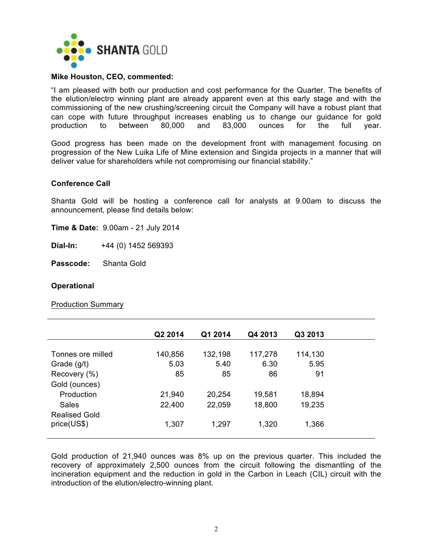

### **Mike Houston, CEO, commented:**

"I am pleased with both our production and cost performance for the Quarter. The benefits of the elution/electro winning plant are already apparent even at this early stage and with the commissioning of the new crushing/screening circuit the Company will have a robust plant that can cope with future throughput increases enabling us to change our guidance for gold production to between 80,000 and 83,000 ounces for the full year.

Good progress has been made on the development front with management focusing on progression of the New Luika Life of Mine extension and Singida projects in a manner that will deliver value for shareholders while not compromising our financial stability."

#### **Conference Call**

Shanta Gold will be hosting a conference call for analysts at 9.00am to discuss the announcement, please find details below:

**Time & Date:** 9.00am - 21 July 2014

**Dial-In:** +44 (0) 1452 569393

**Passcode:** Shanta Gold

#### **Operational**

Production Summary

|                      | Q2 2014 | Q1 2014 | Q4 2013 | Q3 2013 |
|----------------------|---------|---------|---------|---------|
|                      |         |         |         |         |
| Tonnes ore milled    | 140,856 | 132,198 | 117,278 | 114,130 |
| Grade (g/t)          | 5.03    | 5.40    | 6.30    | 5.95    |
| Recovery (%)         | 85      | 85      | 86      | 91      |
| Gold (ounces)        |         |         |         |         |
| Production           | 21,940  | 20,254  | 19,581  | 18,894  |
| Sales                | 22,400  | 22,059  | 18,800  | 19,235  |
| <b>Realised Gold</b> |         |         |         |         |
| price(US\$)          | 1,307   | 1,297   | 1,320   | 1,366   |
|                      |         |         |         |         |

Gold production of 21,940 ounces was 8% up on the previous quarter. This included the recovery of approximately 2,500 ounces from the circuit following the dismantling of the incineration equipment and the reduction in gold in the Carbon in Leach (CIL) circuit with the introduction of the elution/electro-winning plant.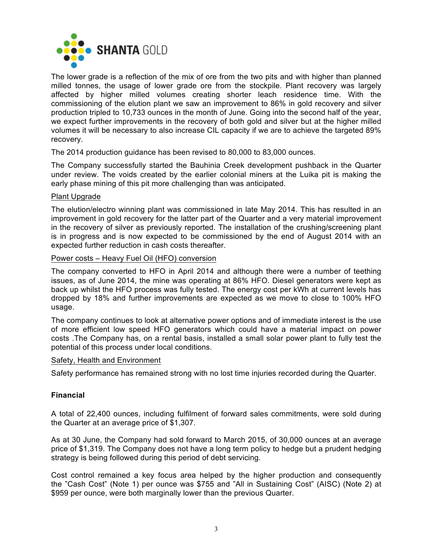

The lower grade is a reflection of the mix of ore from the two pits and with higher than planned milled tonnes, the usage of lower grade ore from the stockpile. Plant recovery was largely affected by higher milled volumes creating shorter leach residence time. With the commissioning of the elution plant we saw an improvement to 86% in gold recovery and silver production tripled to 10,733 ounces in the month of June. Going into the second half of the year, we expect further improvements in the recovery of both gold and silver but at the higher milled volumes it will be necessary to also increase CIL capacity if we are to achieve the targeted 89% recovery.

The 2014 production guidance has been revised to 80,000 to 83,000 ounces.

The Company successfully started the Bauhinia Creek development pushback in the Quarter under review. The voids created by the earlier colonial miners at the Luika pit is making the early phase mining of this pit more challenging than was anticipated.

## Plant Upgrade

The elution/electro winning plant was commissioned in late May 2014. This has resulted in an improvement in gold recovery for the latter part of the Quarter and a very material improvement in the recovery of silver as previously reported. The installation of the crushing/screening plant is in progress and is now expected to be commissioned by the end of August 2014 with an expected further reduction in cash costs thereafter.

Power costs – Heavy Fuel Oil (HFO) conversion

The company converted to HFO in April 2014 and although there were a number of teething issues, as of June 2014, the mine was operating at 86% HFO. Diesel generators were kept as back up whilst the HFO process was fully tested. The energy cost per kWh at current levels has dropped by 18% and further improvements are expected as we move to close to 100% HFO usage.

The company continues to look at alternative power options and of immediate interest is the use of more efficient low speed HFO generators which could have a material impact on power costs .The Company has, on a rental basis, installed a small solar power plant to fully test the potential of this process under local conditions.

### Safety, Health and Environment

Safety performance has remained strong with no lost time injuries recorded during the Quarter.

## **Financial**

A total of 22,400 ounces, including fulfilment of forward sales commitments, were sold during the Quarter at an average price of \$1,307.

As at 30 June, the Company had sold forward to March 2015, of 30,000 ounces at an average price of \$1,319. The Company does not have a long term policy to hedge but a prudent hedging strategy is being followed during this period of debt servicing.

Cost control remained a key focus area helped by the higher production and consequently the "Cash Cost" (Note 1) per ounce was \$755 and "All in Sustaining Cost" (AISC) (Note 2) at \$959 per ounce, were both marginally lower than the previous Quarter.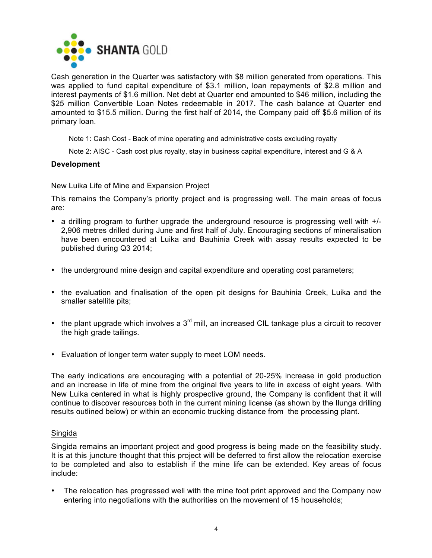

Cash generation in the Quarter was satisfactory with \$8 million generated from operations. This was applied to fund capital expenditure of \$3.1 million, loan repayments of \$2.8 million and interest payments of \$1.6 million. Net debt at Quarter end amounted to \$46 million, including the \$25 million Convertible Loan Notes redeemable in 2017. The cash balance at Quarter end amounted to \$15.5 million. During the first half of 2014, the Company paid off \$5.6 million of its primary loan.

Note 1: Cash Cost - Back of mine operating and administrative costs excluding royalty

Note 2: AISC - Cash cost plus royalty, stay in business capital expenditure, interest and G & A

### **Development**

### New Luika Life of Mine and Expansion Project

This remains the Company's priority project and is progressing well. The main areas of focus are:

- a drilling program to further upgrade the underground resource is progressing well with +/- 2,906 metres drilled during June and first half of July. Encouraging sections of mineralisation have been encountered at Luika and Bauhinia Creek with assay results expected to be published during Q3 2014;
- the underground mine design and capital expenditure and operating cost parameters;
- the evaluation and finalisation of the open pit designs for Bauhinia Creek, Luika and the smaller satellite pits;
- the plant upgrade which involves a  $3<sup>rd</sup>$  mill, an increased CIL tankage plus a circuit to recover the high grade tailings.
- Evaluation of longer term water supply to meet LOM needs.

The early indications are encouraging with a potential of 20-25% increase in gold production and an increase in life of mine from the original five years to life in excess of eight years. With New Luika centered in what is highly prospective ground, the Company is confident that it will continue to discover resources both in the current mining license (as shown by the Ilunga drilling results outlined below) or within an economic trucking distance from the processing plant.

### Singida

Singida remains an important project and good progress is being made on the feasibility study. It is at this juncture thought that this project will be deferred to first allow the relocation exercise to be completed and also to establish if the mine life can be extended. Key areas of focus include:

• The relocation has progressed well with the mine foot print approved and the Company now entering into negotiations with the authorities on the movement of 15 households;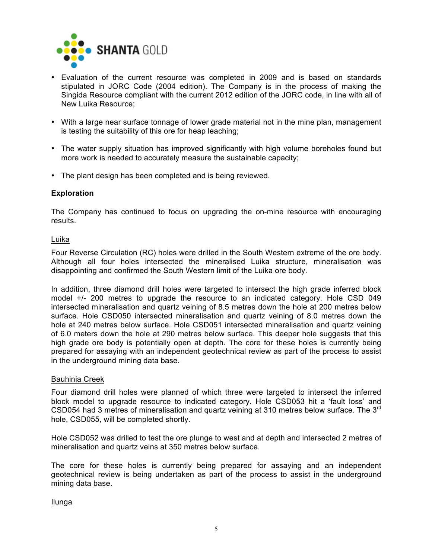

- Evaluation of the current resource was completed in 2009 and is based on standards stipulated in JORC Code (2004 edition). The Company is in the process of making the Singida Resource compliant with the current 2012 edition of the JORC code, in line with all of New Luika Resource;
- With a large near surface tonnage of lower grade material not in the mine plan, management is testing the suitability of this ore for heap leaching;
- The water supply situation has improved significantly with high volume boreholes found but more work is needed to accurately measure the sustainable capacity;
- The plant design has been completed and is being reviewed.

## **Exploration**

The Company has continued to focus on upgrading the on-mine resource with encouraging results.

#### Luika

Four Reverse Circulation (RC) holes were drilled in the South Western extreme of the ore body. Although all four holes intersected the mineralised Luika structure, mineralisation was disappointing and confirmed the South Western limit of the Luika ore body.

In addition, three diamond drill holes were targeted to intersect the high grade inferred block model +/- 200 metres to upgrade the resource to an indicated category. Hole CSD 049 intersected mineralisation and quartz veining of 8.5 metres down the hole at 200 metres below surface. Hole CSD050 intersected mineralisation and quartz veining of 8.0 metres down the hole at 240 metres below surface. Hole CSD051 intersected mineralisation and quartz veining of 6.0 meters down the hole at 290 metres below surface. This deeper hole suggests that this high grade ore body is potentially open at depth. The core for these holes is currently being prepared for assaying with an independent geotechnical review as part of the process to assist in the underground mining data base.

### Bauhinia Creek

Four diamond drill holes were planned of which three were targeted to intersect the inferred block model to upgrade resource to indicated category. Hole CSD053 hit a 'fault loss' and CSD054 had 3 metres of mineralisation and quartz veining at 310 metres below surface. The 3<sup>rd</sup> hole, CSD055, will be completed shortly.

Hole CSD052 was drilled to test the ore plunge to west and at depth and intersected 2 metres of mineralisation and quartz veins at 350 metres below surface.

The core for these holes is currently being prepared for assaying and an independent geotechnical review is being undertaken as part of the process to assist in the underground mining data base.

Ilunga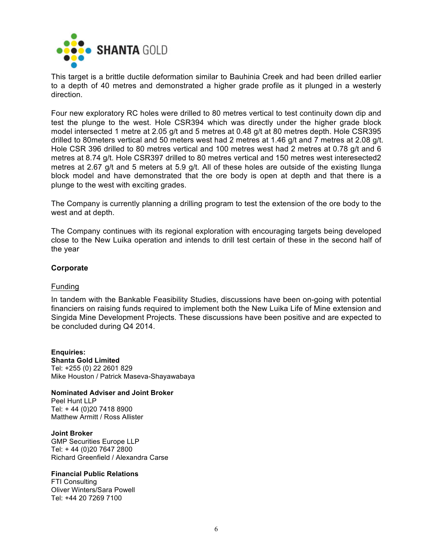

This target is a brittle ductile deformation similar to Bauhinia Creek and had been drilled earlier to a depth of 40 metres and demonstrated a higher grade profile as it plunged in a westerly direction.

Four new exploratory RC holes were drilled to 80 metres vertical to test continuity down dip and test the plunge to the west. Hole CSR394 which was directly under the higher grade block model intersected 1 metre at 2.05 g/t and 5 metres at 0.48 g/t at 80 metres depth. Hole CSR395 drilled to 80meters vertical and 50 meters west had 2 metres at 1.46 g/t and 7 metres at 2.08 g/t. Hole CSR 396 drilled to 80 metres vertical and 100 metres west had 2 metres at 0.78 g/t and 6 metres at 8.74 g/t. Hole CSR397 drilled to 80 metres vertical and 150 metres west interesected2 metres at 2.67 g/t and 5 meters at 5.9 g/t. All of these holes are outside of the existing Ilunga block model and have demonstrated that the ore body is open at depth and that there is a plunge to the west with exciting grades.

The Company is currently planning a drilling program to test the extension of the ore body to the west and at depth.

The Company continues with its regional exploration with encouraging targets being developed close to the New Luika operation and intends to drill test certain of these in the second half of the year

### **Corporate**

### Funding

In tandem with the Bankable Feasibility Studies, discussions have been on-going with potential financiers on raising funds required to implement both the New Luika Life of Mine extension and Singida Mine Development Projects. These discussions have been positive and are expected to be concluded during Q4 2014.

**Enquiries: Shanta Gold Limited**  Tel: +255 (0) 22 2601 829 Mike Houston / Patrick Maseva-Shayawabaya

#### **Nominated Adviser and Joint Broker**

Peel Hunt LLP Tel: + 44 (0)20 7418 8900 Matthew Armitt / Ross Allister

**Joint Broker** GMP Securities Europe LLP Tel: + 44 (0)20 7647 2800 Richard Greenfield / Alexandra Carse

#### **Financial Public Relations**

FTI Consulting Oliver Winters/Sara Powell Tel: +44 20 7269 7100